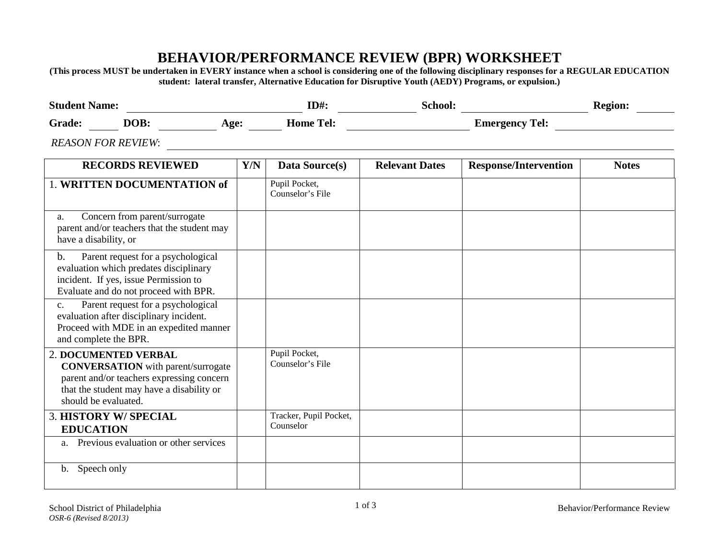## **BEHAVIOR/PERFORMANCE REVIEW (BPR) WORKSHEET**

**(This process MUST be undertaken in EVERY instance when a school is considering one of the following disciplinary responses for a REGULAR EDUCATION student: lateral transfer, Alternative Education for Disruptive Youth (AEDY) Programs, or expulsion.)**

| <b>Student Name:</b> |      |      | ID#∙             | School:               | <b>Region:</b> |
|----------------------|------|------|------------------|-----------------------|----------------|
| Grade:               | DOB: | Age: | <b>Home Tel:</b> | <b>Emergency Tel:</b> |                |
|                      |      |      |                  |                       |                |

*REASON FOR REVIEW*:

| <b>RECORDS REVIEWED</b>                                                                                                                                                             | Y/N | Data Source(s)                      | <b>Relevant Dates</b> | <b>Response/Intervention</b> | <b>Notes</b> |
|-------------------------------------------------------------------------------------------------------------------------------------------------------------------------------------|-----|-------------------------------------|-----------------------|------------------------------|--------------|
| 1. WRITTEN DOCUMENTATION of                                                                                                                                                         |     | Pupil Pocket,<br>Counselor's File   |                       |                              |              |
| Concern from parent/surrogate<br>a.<br>parent and/or teachers that the student may<br>have a disability, or                                                                         |     |                                     |                       |                              |              |
| Parent request for a psychological<br>$\mathbf{b}$ .<br>evaluation which predates disciplinary<br>incident. If yes, issue Permission to<br>Evaluate and do not proceed with BPR.    |     |                                     |                       |                              |              |
| Parent request for a psychological<br>$C_{\bullet}$<br>evaluation after disciplinary incident.<br>Proceed with MDE in an expedited manner<br>and complete the BPR.                  |     |                                     |                       |                              |              |
| 2. DOCUMENTED VERBAL<br><b>CONVERSATION</b> with parent/surrogate<br>parent and/or teachers expressing concern<br>that the student may have a disability or<br>should be evaluated. |     | Pupil Pocket,<br>Counselor's File   |                       |                              |              |
| <b>3. HISTORY W/ SPECIAL</b><br><b>EDUCATION</b>                                                                                                                                    |     | Tracker, Pupil Pocket,<br>Counselor |                       |                              |              |
| Previous evaluation or other services                                                                                                                                               |     |                                     |                       |                              |              |
| Speech only<br>$b_{\cdot}$                                                                                                                                                          |     |                                     |                       |                              |              |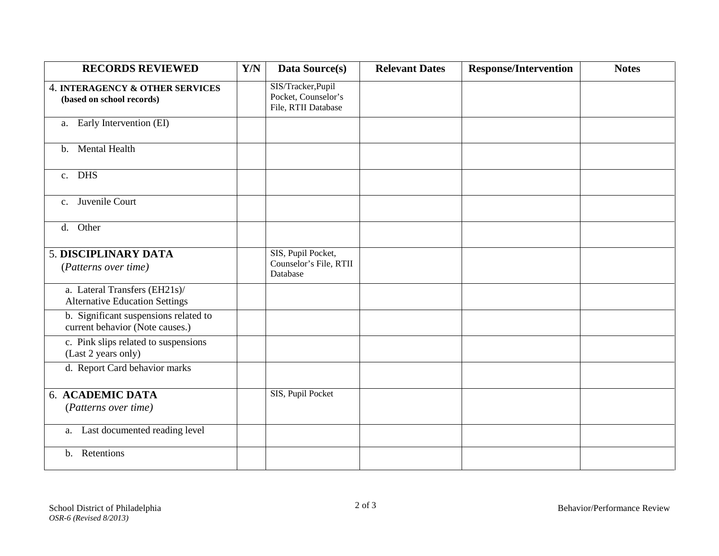| <b>RECORDS REVIEWED</b>                                                  | Y/N | Data Source(s)                                                   | <b>Relevant Dates</b> | <b>Response/Intervention</b> | <b>Notes</b> |
|--------------------------------------------------------------------------|-----|------------------------------------------------------------------|-----------------------|------------------------------|--------------|
| <b>4. INTERAGENCY &amp; OTHER SERVICES</b><br>(based on school records)  |     | SIS/Tracker, Pupil<br>Pocket, Counselor's<br>File, RTII Database |                       |                              |              |
| Early Intervention (EI)<br>a.                                            |     |                                                                  |                       |                              |              |
| Mental Health<br>$\mathbf{b}$ .                                          |     |                                                                  |                       |                              |              |
| c. DHS                                                                   |     |                                                                  |                       |                              |              |
| Juvenile Court<br>$\mathbf{c}$ .                                         |     |                                                                  |                       |                              |              |
| d. Other                                                                 |     |                                                                  |                       |                              |              |
| 5. DISCIPLINARY DATA<br>(Patterns over time)                             |     | SIS, Pupil Pocket,<br>Counselor's File, RTII<br>Database         |                       |                              |              |
| a. Lateral Transfers (EH21s)/<br><b>Alternative Education Settings</b>   |     |                                                                  |                       |                              |              |
| b. Significant suspensions related to<br>current behavior (Note causes.) |     |                                                                  |                       |                              |              |
| c. Pink slips related to suspensions<br>(Last 2 years only)              |     |                                                                  |                       |                              |              |
| d. Report Card behavior marks                                            |     |                                                                  |                       |                              |              |
| 6. ACADEMIC DATA<br>(Patterns over time)                                 |     | SIS, Pupil Pocket                                                |                       |                              |              |
| a. Last documented reading level                                         |     |                                                                  |                       |                              |              |
| Retentions<br>$\mathbf{b}$ .                                             |     |                                                                  |                       |                              |              |